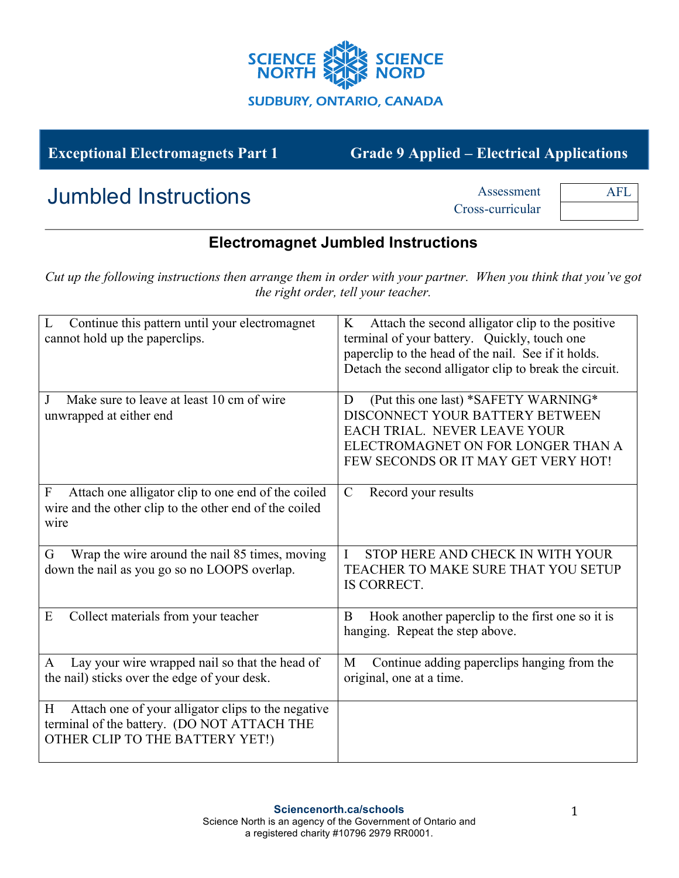

## **Exceptional Electromagnets Part 1 Grade 9 Applied – Electrical Applications**

# Jumbled Instructions **Assessment**

Cross-curricular

AFL

#### **Electromagnet Jumbled Instructions**

*Cut up the following instructions then arrange them in order with your partner. When you think that you've got the right order, tell your teacher.*

| Continue this pattern until your electromagnet<br>L<br>cannot hold up the paperclips.                                                     | Attach the second alligator clip to the positive<br>K<br>terminal of your battery. Quickly, touch one<br>paperclip to the head of the nail. See if it holds.<br>Detach the second alligator clip to break the circuit. |
|-------------------------------------------------------------------------------------------------------------------------------------------|------------------------------------------------------------------------------------------------------------------------------------------------------------------------------------------------------------------------|
| Make sure to leave at least 10 cm of wire<br>J<br>unwrapped at either end                                                                 | (Put this one last) *SAFETY WARNING*<br>D<br>DISCONNECT YOUR BATTERY BETWEEN<br><b>EACH TRIAL. NEVER LEAVE YOUR</b><br>ELECTROMAGNET ON FOR LONGER THAN A<br>FEW SECONDS OR IT MAY GET VERY HOT!                       |
| Attach one alligator clip to one end of the coiled<br>$\boldsymbol{F}$<br>wire and the other clip to the other end of the coiled<br>wire  | $\mathcal{C}$<br>Record your results                                                                                                                                                                                   |
| Wrap the wire around the nail 85 times, moving<br>G<br>down the nail as you go so no LOOPS overlap.                                       | T<br>STOP HERE AND CHECK IN WITH YOUR<br>TEACHER TO MAKE SURE THAT YOU SETUP<br>IS CORRECT.                                                                                                                            |
| Collect materials from your teacher<br>E                                                                                                  | Hook another paperclip to the first one so it is<br>B<br>hanging. Repeat the step above.                                                                                                                               |
| Lay your wire wrapped nail so that the head of<br>A<br>the nail) sticks over the edge of your desk.                                       | Continue adding paperclips hanging from the<br>M<br>original, one at a time.                                                                                                                                           |
| Attach one of your alligator clips to the negative<br>H<br>terminal of the battery. (DO NOT ATTACH THE<br>OTHER CLIP TO THE BATTERY YET!) |                                                                                                                                                                                                                        |